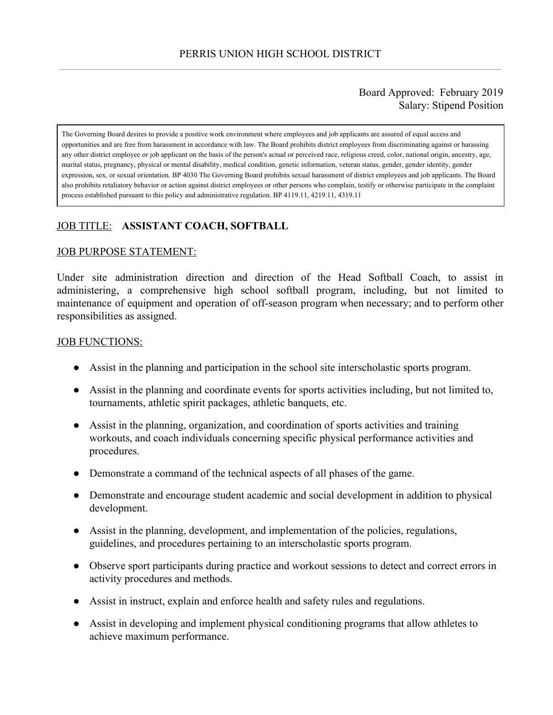### Board Approved: February 2019 Salary: Stipend Position

The Governing Board desires to provide a positive work environment where employees and job applicants are assured of equal access and opportunities and are free from harassment in accordance with law. The Board prohibits district employees from discriminating against or harassing any other district employee or job applicant on the basis of the person's actual or perceived race, religious creed, color, national origin, ancestry, age, marital status, pregnancy, physical or mental disability, medical condition, genetic information, veteran status, gender, gender identity, gender expression, sex, or sexual orientation. BP 4030 The Governing Board prohibits sexual harassment of district employees and job applicants. The Board also prohibits retaliatory behavior or action against district employees or other persons who complain, testify or otherwise participate in the complaint process established pursuant to this policy and administrative regulation. BP 4119.11, 4219.11, 4319.11

# JOB TITLE: **ASSISTANT COACH, SOFTBALL**

#### JOB PURPOSE STATEMENT:

Under site administration direction and direction of the Head Softball Coach, to assist in administering, a comprehensive high school softball program, including, but not limited to maintenance of equipment and operation of off-season program when necessary; and to perform other responsibilities as assigned.

#### JOB FUNCTIONS:

- Assist in the planning and participation in the school site interscholastic sports program.
- Assist in the planning and coordinate events for sports activities including, but not limited to, tournaments, athletic spirit packages, athletic banquets, etc.
- Assist in the planning, organization, and coordination of sports activities and training workouts, and coach individuals concerning specific physical performance activities and procedures.
- Demonstrate a command of the technical aspects of all phases of the game.
- Demonstrate and encourage student academic and social development in addition to physical development.
- Assist in the planning, development, and implementation of the policies, regulations, guidelines, and procedures pertaining to an interscholastic sports program.
- Observe sport participants during practice and workout sessions to detect and correct errors in activity procedures and methods.
- Assist in instruct, explain and enforce health and safety rules and regulations.
- Assist in developing and implement physical conditioning programs that allow athletes to achieve maximum performance.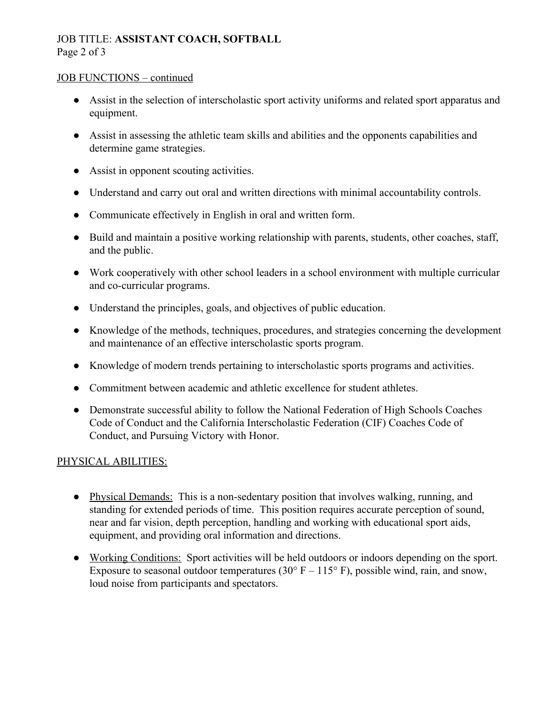# JOB TITLE: **ASSISTANT COACH, SOFTBALL** Page 2 of 3

### JOB FUNCTIONS – continued

- Assist in the selection of interscholastic sport activity uniforms and related sport apparatus and equipment.
- Assist in assessing the athletic team skills and abilities and the opponents capabilities and determine game strategies.
- Assist in opponent scouting activities.
- Understand and carry out oral and written directions with minimal accountability controls.
- Communicate effectively in English in oral and written form.
- Build and maintain a positive working relationship with parents, students, other coaches, staff, and the public.
- Work cooperatively with other school leaders in a school environment with multiple curricular and co-curricular programs.
- Understand the principles, goals, and objectives of public education.
- Knowledge of the methods, techniques, procedures, and strategies concerning the development and maintenance of an effective interscholastic sports program.
- Knowledge of modern trends pertaining to interscholastic sports programs and activities.
- Commitment between academic and athletic excellence for student athletes.
- Demonstrate successful ability to follow the National Federation of High Schools Coaches Code of Conduct and the California Interscholastic Federation (CIF) Coaches Code of Conduct, and Pursuing Victory with Honor.

### PHYSICAL ABILITIES:

- Physical Demands: This is a non-sedentary position that involves walking, running, and standing for extended periods of time. This position requires accurate perception of sound, near and far vision, depth perception, handling and working with educational sport aids, equipment, and providing oral information and directions.
- Working Conditions: Sport activities will be held outdoors or indoors depending on the sport. Exposure to seasonal outdoor temperatures (30 $\degree$  F – 115 $\degree$  F), possible wind, rain, and snow, loud noise from participants and spectators.